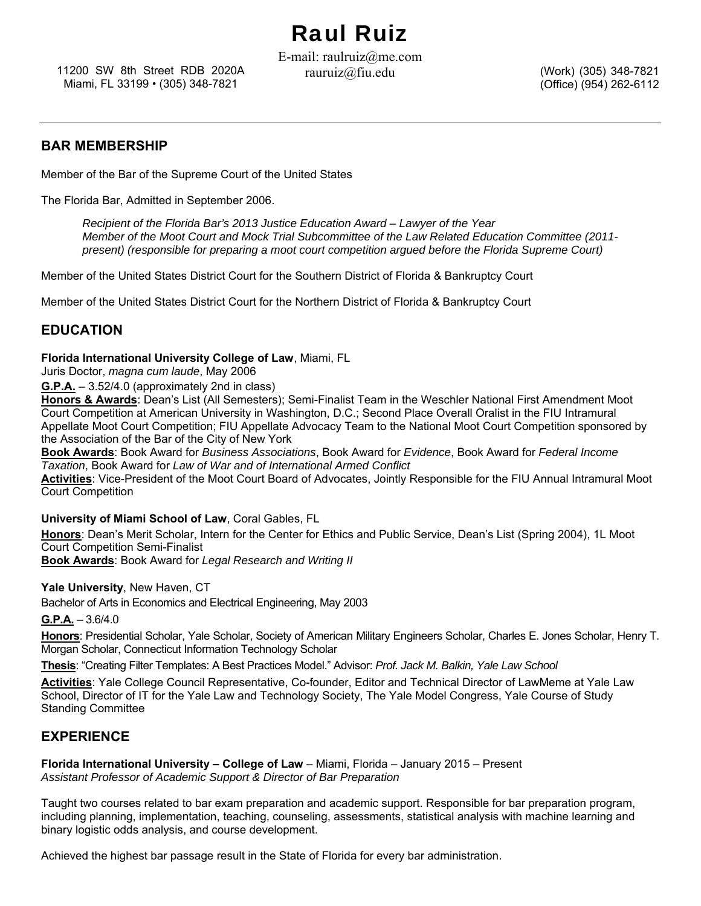# Raul Ruiz

11200 SW 8th Street RDB 2020A rauruiz@fiu.edu Miami, FL 33199 • (305) 348-7821

E-mail: raulruiz@me.com

(Work) (305) 348-7821 (Office) (954) 262-6112

#### **BAR MEMBERSHIP**

Member of the Bar of the Supreme Court of the United States

The Florida Bar, Admitted in September 2006.

*Recipient of the Florida Bar's 2013 Justice Education Award – Lawyer of the Year Member of the Moot Court and Mock Trial Subcommittee of the Law Related Education Committee (2011 present)* (responsible for preparing a moot court competition argued before the Florida Supreme Court)

Member of the United States District Court for the Southern District of Florida & Bankruptcy Court

Member of the United States District Court for the Northern District of Florida & Bankruptcy Court

## **EDUCATION**

**Florida International University College of Law**, Miami, FL

Juris Doctor, *magna cum laude*, May 2006

**G.P.A.** – 3.52/4.0 (approximately 2nd in class)

**Honors & Awards**: Dean's List (All Semesters); Semi-Finalist Team in the Weschler National First Amendment Moot Court Competition at American University in Washington, D.C.; Second Place Overall Oralist in the FIU Intramural Appellate Moot Court Competition; FIU Appellate Advocacy Team to the National Moot Court Competition sponsored by the Association of the Bar of the City of New York

**Book Awards**: Book Award for *Business Associations*, Book Award for *Evidence*, Book Award for *Federal Income Taxation*, Book Award for *Law of War and of International Armed Conflict*

**Activities**: Vice-President of the Moot Court Board of Advocates, Jointly Responsible for the FIU Annual Intramural Moot Court Competition

**University of Miami School of Law**, Coral Gables, FL

**Honors**: Dean's Merit Scholar, Intern for the Center for Ethics and Public Service, Dean's List (Spring 2004), 1L Moot Court Competition Semi-Finalist

**Book Awards**: Book Award for *Legal Research and Writing II*

**Yale University**, New Haven, CT

Bachelor of Arts in Economics and Electrical Engineering, May 2003

**G.P.A.** – 3.6/4.0

**Honors**: Presidential Scholar, Yale Scholar, Society of American Military Engineers Scholar, Charles E. Jones Scholar, Henry T. Morgan Scholar, Connecticut Information Technology Scholar

**Thesis**: "Creating Filter Templates: A Best Practices Model." Advisor: *Prof. Jack M. Balkin, Yale Law School*

**Activities**: Yale College Council Representative, Co-founder, Editor and Technical Director of LawMeme at Yale Law School, Director of IT for the Yale Law and Technology Society, The Yale Model Congress, Yale Course of Study Standing Committee

#### **EXPERIENCE**

**Florida International University – College of Law** – Miami, Florida – January 2015 – Present *Assistant Professor of Academic Support & Director of Bar Preparation* 

Taught two courses related to bar exam preparation and academic support. Responsible for bar preparation program, including planning, implementation, teaching, counseling, assessments, statistical analysis with machine learning and binary logistic odds analysis, and course development.

Achieved the highest bar passage result in the State of Florida for every bar administration.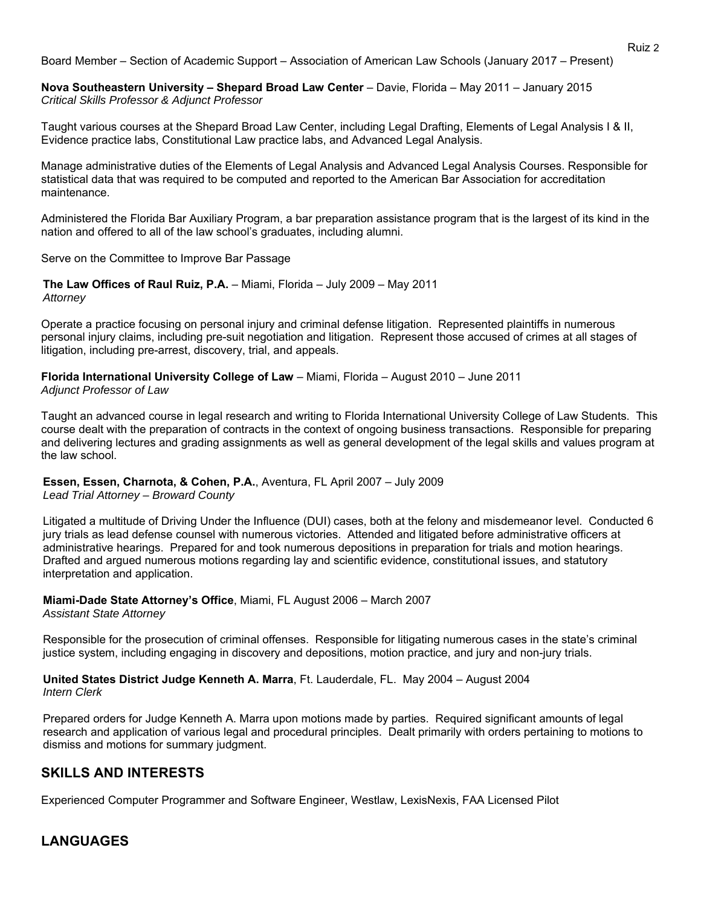Board Member – Section of Academic Support – Association of American Law Schools (January 2017 – Present)

**Nova Southeastern University – Shepard Broad Law Center** – Davie, Florida – May 2011 – January 2015 *Critical Skills Professor & Adjunct Professor* 

Taught various courses at the Shepard Broad Law Center, including Legal Drafting, Elements of Legal Analysis I & II, Evidence practice labs, Constitutional Law practice labs, and Advanced Legal Analysis.

Manage administrative duties of the Elements of Legal Analysis and Advanced Legal Analysis Courses. Responsible for statistical data that was required to be computed and reported to the American Bar Association for accreditation maintenance.

Administered the Florida Bar Auxiliary Program, a bar preparation assistance program that is the largest of its kind in the nation and offered to all of the law school's graduates, including alumni.

Serve on the Committee to Improve Bar Passage

**The Law Offices of Raul Ruiz, P.A.** – Miami, Florida – July 2009 – May 2011 *Attorney*

Operate a practice focusing on personal injury and criminal defense litigation. Represented plaintiffs in numerous personal injury claims, including pre-suit negotiation and litigation. Represent those accused of crimes at all stages of litigation, including pre-arrest, discovery, trial, and appeals.

**Florida International University College of Law** – Miami, Florida – August 2010 – June 2011 *Adjunct Professor of Law*

Taught an advanced course in legal research and writing to Florida International University College of Law Students. This course dealt with the preparation of contracts in the context of ongoing business transactions. Responsible for preparing and delivering lectures and grading assignments as well as general development of the legal skills and values program at the law school.

**Essen, Essen, Charnota, & Cohen, P.A.**, Aventura, FL April 2007 – July 2009 *Lead Trial Attorney – Broward County*

Litigated a multitude of Driving Under the Influence (DUI) cases, both at the felony and misdemeanor level. Conducted 6 jury trials as lead defense counsel with numerous victories. Attended and litigated before administrative officers at administrative hearings. Prepared for and took numerous depositions in preparation for trials and motion hearings. Drafted and argued numerous motions regarding lay and scientific evidence, constitutional issues, and statutory interpretation and application.

**Miami-Dade State Attorney's Office**, Miami, FL August 2006 – March 2007 *Assistant State Attorney*

Responsible for the prosecution of criminal offenses. Responsible for litigating numerous cases in the state's criminal justice system, including engaging in discovery and depositions, motion practice, and jury and non-jury trials.

**United States District Judge Kenneth A. Marra**, Ft. Lauderdale, FL. May 2004 – August 2004 *Intern Clerk* 

Prepared orders for Judge Kenneth A. Marra upon motions made by parties. Required significant amounts of legal research and application of various legal and procedural principles. Dealt primarily with orders pertaining to motions to dismiss and motions for summary judgment.

## **SKILLS AND INTERESTS**

Experienced Computer Programmer and Software Engineer, Westlaw, LexisNexis, FAA Licensed Pilot

# **LANGUAGES**